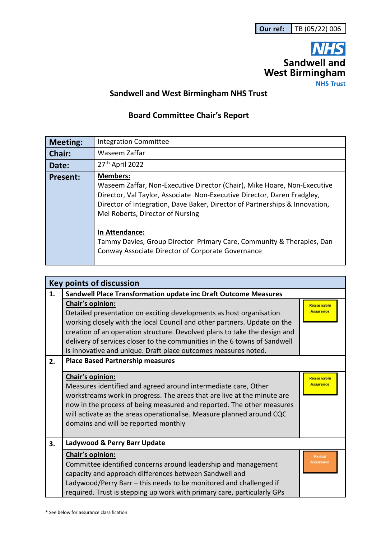

## **Sandwell and West Birmingham NHS Trust**

## **Board Committee Chair's Report**

| <b>Meeting:</b> | <b>Integration Committee</b>                                                                                                                                                                                                                                                              |
|-----------------|-------------------------------------------------------------------------------------------------------------------------------------------------------------------------------------------------------------------------------------------------------------------------------------------|
| <b>Chair:</b>   | Waseem Zaffar                                                                                                                                                                                                                                                                             |
| Date:           | 27th April 2022                                                                                                                                                                                                                                                                           |
| <b>Present:</b> | <b>Members:</b><br>Waseem Zaffar, Non-Executive Director (Chair), Mike Hoare, Non-Executive<br>Director, Val Taylor, Associate Non-Executive Director, Daren Fradgley,<br>Director of Integration, Dave Baker, Director of Partnerships & Innovation,<br>Mel Roberts, Director of Nursing |
|                 | In Attendance:<br>Tammy Davies, Group Director Primary Care, Community & Therapies, Dan<br>Conway Associate Director of Corporate Governance                                                                                                                                              |

| <b>Key points of discussion</b> |                                                                                                                                                                                                                                                                                                                                                                                                 |                                       |  |
|---------------------------------|-------------------------------------------------------------------------------------------------------------------------------------------------------------------------------------------------------------------------------------------------------------------------------------------------------------------------------------------------------------------------------------------------|---------------------------------------|--|
| 1.                              | Sandwell Place Transformation update inc Draft Outcome Measures                                                                                                                                                                                                                                                                                                                                 |                                       |  |
|                                 | Chair's opinion:<br>Detailed presentation on exciting developments as host organisation<br>working closely with the local Council and other partners. Update on the<br>creation of an operation structure. Devolved plans to take the design and<br>delivery of services closer to the communities in the 6 towns of Sandwell<br>is innovative and unique. Draft place outcomes measures noted. | Reasonable<br><b>Assurance</b>        |  |
| 2.                              | <b>Place Based Partnership measures</b>                                                                                                                                                                                                                                                                                                                                                         |                                       |  |
|                                 | Chair's opinion:<br>Measures identified and agreed around intermediate care, Other<br>workstreams work in progress. The areas that are live at the minute are<br>now in the process of being measured and reported. The other measures<br>will activate as the areas operationalise. Measure planned around CQC<br>domains and will be reported monthly                                         | <b>Reasonable</b><br><b>Assurance</b> |  |
| 3.                              | Ladywood & Perry Barr Update                                                                                                                                                                                                                                                                                                                                                                    |                                       |  |
|                                 | Chair's opinion:<br>Committee identified concerns around leadership and management<br>capacity and approach differences between Sandwell and<br>Ladywood/Perry Barr - this needs to be monitored and challenged if<br>required. Trust is stepping up work with primary care, particularly GPs                                                                                                   | Partial<br><b>Assurance</b>           |  |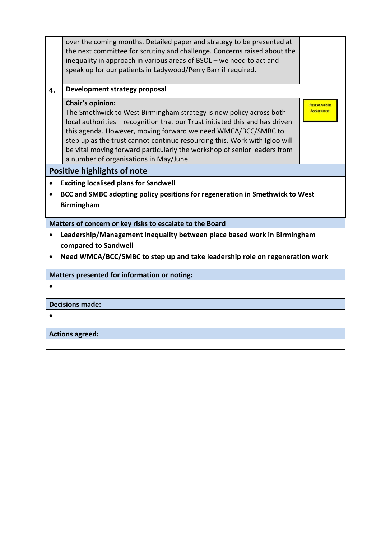|                                                                                                                                                                                | over the coming months. Detailed paper and strategy to be presented at<br>the next committee for scrutiny and challenge. Concerns raised about the<br>inequality in approach in various areas of BSOL - we need to act and<br>speak up for our patients in Ladywood/Perry Barr if required.                                                                                                                                                  |                                       |  |  |  |
|--------------------------------------------------------------------------------------------------------------------------------------------------------------------------------|----------------------------------------------------------------------------------------------------------------------------------------------------------------------------------------------------------------------------------------------------------------------------------------------------------------------------------------------------------------------------------------------------------------------------------------------|---------------------------------------|--|--|--|
| 4.                                                                                                                                                                             | Development strategy proposal                                                                                                                                                                                                                                                                                                                                                                                                                |                                       |  |  |  |
|                                                                                                                                                                                | Chair's opinion:<br>The Smethwick to West Birmingham strategy is now policy across both<br>local authorities - recognition that our Trust initiated this and has driven<br>this agenda. However, moving forward we need WMCA/BCC/SMBC to<br>step up as the trust cannot continue resourcing this. Work with Igloo will<br>be vital moving forward particularly the workshop of senior leaders from<br>a number of organisations in May/June. | <b>Reasonable</b><br><b>Assurance</b> |  |  |  |
|                                                                                                                                                                                | <b>Positive highlights of note</b>                                                                                                                                                                                                                                                                                                                                                                                                           |                                       |  |  |  |
| <b>Exciting localised plans for Sandwell</b><br>$\bullet$                                                                                                                      |                                                                                                                                                                                                                                                                                                                                                                                                                                              |                                       |  |  |  |
|                                                                                                                                                                                | BCC and SMBC adopting policy positions for regeneration in Smethwick to West<br><b>Birmingham</b>                                                                                                                                                                                                                                                                                                                                            |                                       |  |  |  |
| Matters of concern or key risks to escalate to the Board                                                                                                                       |                                                                                                                                                                                                                                                                                                                                                                                                                                              |                                       |  |  |  |
| Leadership/Management inequality between place based work in Birmingham<br>compared to Sandwell<br>Need WMCA/BCC/SMBC to step up and take leadership role on regeneration work |                                                                                                                                                                                                                                                                                                                                                                                                                                              |                                       |  |  |  |
|                                                                                                                                                                                | <b>Matters presented for information or noting:</b>                                                                                                                                                                                                                                                                                                                                                                                          |                                       |  |  |  |
|                                                                                                                                                                                |                                                                                                                                                                                                                                                                                                                                                                                                                                              |                                       |  |  |  |
| <b>Decisions made:</b>                                                                                                                                                         |                                                                                                                                                                                                                                                                                                                                                                                                                                              |                                       |  |  |  |
|                                                                                                                                                                                |                                                                                                                                                                                                                                                                                                                                                                                                                                              |                                       |  |  |  |
| <b>Actions agreed:</b>                                                                                                                                                         |                                                                                                                                                                                                                                                                                                                                                                                                                                              |                                       |  |  |  |
|                                                                                                                                                                                |                                                                                                                                                                                                                                                                                                                                                                                                                                              |                                       |  |  |  |